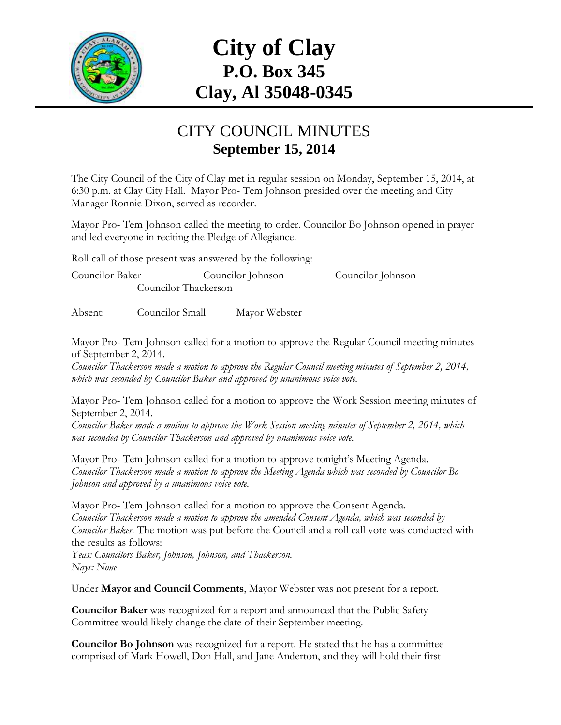

# **City of Clay P.O. Box 345 Clay, Al 35048-0345**

#### CITY COUNCIL MINUTES **September 15, 2014**

The City Council of the City of Clay met in regular session on Monday, September 15, 2014, at 6:30 p.m. at Clay City Hall. Mayor Pro- Tem Johnson presided over the meeting and City Manager Ronnie Dixon, served as recorder.

Mayor Pro- Tem Johnson called the meeting to order. Councilor Bo Johnson opened in prayer and led everyone in reciting the Pledge of Allegiance.

Roll call of those present was answered by the following:

Councilor Baker Councilor Johnson Councilor Johnson Councilor Thackerson

Absent: Councilor Small Mayor Webster

Mayor Pro- Tem Johnson called for a motion to approve the Regular Council meeting minutes of September 2, 2014.

*Councilor Thackerson made a motion to approve the Regular Council meeting minutes of September 2, 2014, which was seconded by Councilor Baker and approved by unanimous voice vote.*

Mayor Pro- Tem Johnson called for a motion to approve the Work Session meeting minutes of September 2, 2014.

*Councilor Baker made a motion to approve the Work Session meeting minutes of September 2, 2014, which was seconded by Councilor Thackerson and approved by unanimous voice vote.*

Mayor Pro- Tem Johnson called for a motion to approve tonight's Meeting Agenda. *Councilor Thackerson made a motion to approve the Meeting Agenda which was seconded by Councilor Bo Johnson and approved by a unanimous voice vote.*

Mayor Pro- Tem Johnson called for a motion to approve the Consent Agenda. *Councilor Thackerson made a motion to approve the amended Consent Agenda, which was seconded by Councilor Baker.* The motion was put before the Council and a roll call vote was conducted with the results as follows:

*Yeas: Councilors Baker, Johnson, Johnson, and Thackerson. Nays: None*

Under **Mayor and Council Comments**, Mayor Webster was not present for a report.

**Councilor Baker** was recognized for a report and announced that the Public Safety Committee would likely change the date of their September meeting.

**Councilor Bo Johnson** was recognized for a report. He stated that he has a committee comprised of Mark Howell, Don Hall, and Jane Anderton, and they will hold their first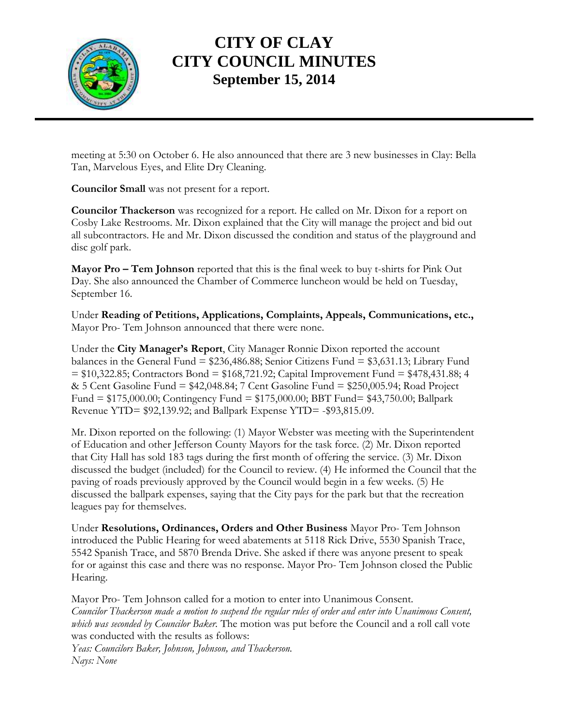

meeting at 5:30 on October 6. He also announced that there are 3 new businesses in Clay: Bella Tan, Marvelous Eyes, and Elite Dry Cleaning.

**Councilor Small** was not present for a report.

**Councilor Thackerson** was recognized for a report. He called on Mr. Dixon for a report on Cosby Lake Restrooms. Mr. Dixon explained that the City will manage the project and bid out all subcontractors. He and Mr. Dixon discussed the condition and status of the playground and disc golf park.

**Mayor Pro – Tem Johnson** reported that this is the final week to buy t-shirts for Pink Out Day. She also announced the Chamber of Commerce luncheon would be held on Tuesday, September 16.

Under **Reading of Petitions, Applications, Complaints, Appeals, Communications, etc.,** Mayor Pro- Tem Johnson announced that there were none.

Under the **City Manager's Report**, City Manager Ronnie Dixon reported the account balances in the General Fund = \$236,486.88; Senior Citizens Fund = \$3,631.13; Library Fund  $= $10,322.85$ ; Contractors Bond  $= $168,721.92$ ; Capital Improvement Fund  $= $478,431.88; 4$ & 5 Cent Gasoline Fund = \$42,048.84; 7 Cent Gasoline Fund = \$250,005.94; Road Project Fund = \$175,000.00; Contingency Fund = \$175,000.00; BBT Fund= \$43,750.00; Ballpark Revenue YTD= \$92,139.92; and Ballpark Expense YTD= -\$93,815.09.

Mr. Dixon reported on the following: (1) Mayor Webster was meeting with the Superintendent of Education and other Jefferson County Mayors for the task force. (2) Mr. Dixon reported that City Hall has sold 183 tags during the first month of offering the service. (3) Mr. Dixon discussed the budget (included) for the Council to review. (4) He informed the Council that the paving of roads previously approved by the Council would begin in a few weeks. (5) He discussed the ballpark expenses, saying that the City pays for the park but that the recreation leagues pay for themselves.

Under **Resolutions, Ordinances, Orders and Other Business** Mayor Pro- Tem Johnson introduced the Public Hearing for weed abatements at 5118 Rick Drive, 5530 Spanish Trace, 5542 Spanish Trace, and 5870 Brenda Drive. She asked if there was anyone present to speak for or against this case and there was no response. Mayor Pro- Tem Johnson closed the Public Hearing.

Mayor Pro- Tem Johnson called for a motion to enter into Unanimous Consent. *Councilor Thackerson made a motion to suspend the regular rules of order and enter into Unanimous Consent, which was seconded by Councilor Baker.* The motion was put before the Council and a roll call vote was conducted with the results as follows: *Yeas: Councilors Baker, Johnson, Johnson, and Thackerson. Nays: None*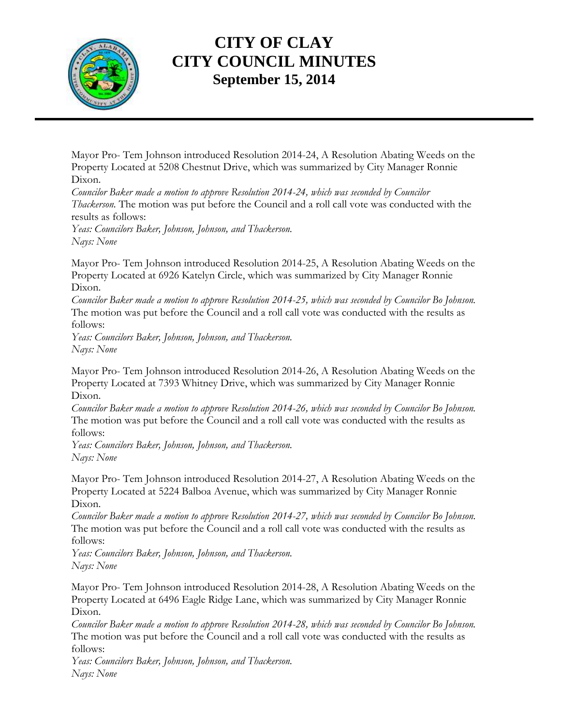

Mayor Pro- Tem Johnson introduced Resolution 2014-24, A Resolution Abating Weeds on the Property Located at 5208 Chestnut Drive, which was summarized by City Manager Ronnie Dixon.

*Councilor Baker made a motion to approve Resolution 2014-24, which was seconded by Councilor Thackerson.* The motion was put before the Council and a roll call vote was conducted with the results as follows:

*Yeas: Councilors Baker, Johnson, Johnson, and Thackerson. Nays: None*

Mayor Pro- Tem Johnson introduced Resolution 2014-25, A Resolution Abating Weeds on the Property Located at 6926 Katelyn Circle, which was summarized by City Manager Ronnie Dixon.

*Councilor Baker made a motion to approve Resolution 2014-25, which was seconded by Councilor Bo Johnson.*  The motion was put before the Council and a roll call vote was conducted with the results as follows:

*Yeas: Councilors Baker, Johnson, Johnson, and Thackerson. Nays: None*

Mayor Pro- Tem Johnson introduced Resolution 2014-26, A Resolution Abating Weeds on the Property Located at 7393 Whitney Drive, which was summarized by City Manager Ronnie Dixon.

*Councilor Baker made a motion to approve Resolution 2014-26, which was seconded by Councilor Bo Johnson.*  The motion was put before the Council and a roll call vote was conducted with the results as follows:

*Yeas: Councilors Baker, Johnson, Johnson, and Thackerson. Nays: None*

Mayor Pro- Tem Johnson introduced Resolution 2014-27, A Resolution Abating Weeds on the Property Located at 5224 Balboa Avenue, which was summarized by City Manager Ronnie Dixon.

*Councilor Baker made a motion to approve Resolution 2014-27, which was seconded by Councilor Bo Johnson.*  The motion was put before the Council and a roll call vote was conducted with the results as follows:

*Yeas: Councilors Baker, Johnson, Johnson, and Thackerson. Nays: None*

Mayor Pro- Tem Johnson introduced Resolution 2014-28, A Resolution Abating Weeds on the Property Located at 6496 Eagle Ridge Lane, which was summarized by City Manager Ronnie Dixon.

*Councilor Baker made a motion to approve Resolution 2014-28, which was seconded by Councilor Bo Johnson.*  The motion was put before the Council and a roll call vote was conducted with the results as follows:

*Yeas: Councilors Baker, Johnson, Johnson, and Thackerson. Nays: None*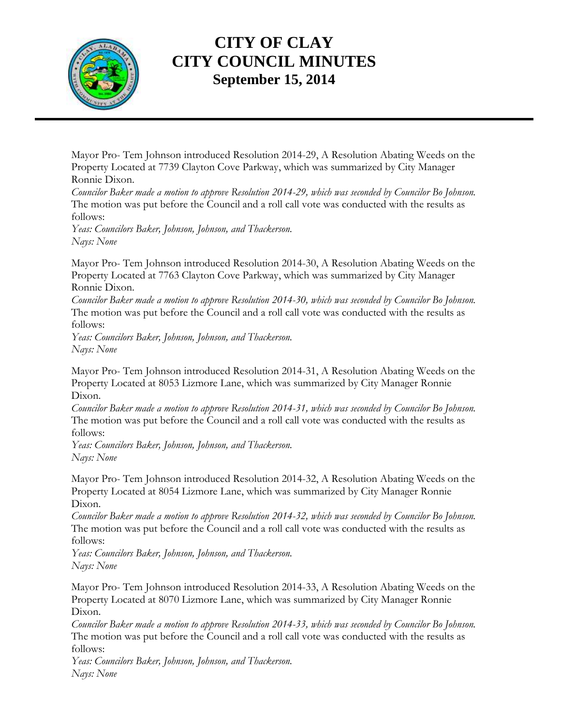

Mayor Pro- Tem Johnson introduced Resolution 2014-29, A Resolution Abating Weeds on the Property Located at 7739 Clayton Cove Parkway, which was summarized by City Manager Ronnie Dixon.

*Councilor Baker made a motion to approve Resolution 2014-29, which was seconded by Councilor Bo Johnson.*  The motion was put before the Council and a roll call vote was conducted with the results as follows:

*Yeas: Councilors Baker, Johnson, Johnson, and Thackerson. Nays: None*

Mayor Pro- Tem Johnson introduced Resolution 2014-30, A Resolution Abating Weeds on the Property Located at 7763 Clayton Cove Parkway, which was summarized by City Manager Ronnie Dixon.

*Councilor Baker made a motion to approve Resolution 2014-30, which was seconded by Councilor Bo Johnson.*  The motion was put before the Council and a roll call vote was conducted with the results as follows:

*Yeas: Councilors Baker, Johnson, Johnson, and Thackerson. Nays: None*

Mayor Pro- Tem Johnson introduced Resolution 2014-31, A Resolution Abating Weeds on the Property Located at 8053 Lizmore Lane, which was summarized by City Manager Ronnie Dixon.

*Councilor Baker made a motion to approve Resolution 2014-31, which was seconded by Councilor Bo Johnson.*  The motion was put before the Council and a roll call vote was conducted with the results as follows:

*Yeas: Councilors Baker, Johnson, Johnson, and Thackerson. Nays: None*

Mayor Pro- Tem Johnson introduced Resolution 2014-32, A Resolution Abating Weeds on the Property Located at 8054 Lizmore Lane, which was summarized by City Manager Ronnie Dixon.

*Councilor Baker made a motion to approve Resolution 2014-32, which was seconded by Councilor Bo Johnson.*  The motion was put before the Council and a roll call vote was conducted with the results as follows:

*Yeas: Councilors Baker, Johnson, Johnson, and Thackerson. Nays: None*

Mayor Pro- Tem Johnson introduced Resolution 2014-33, A Resolution Abating Weeds on the Property Located at 8070 Lizmore Lane, which was summarized by City Manager Ronnie Dixon.

*Councilor Baker made a motion to approve Resolution 2014-33, which was seconded by Councilor Bo Johnson.*  The motion was put before the Council and a roll call vote was conducted with the results as follows:

*Yeas: Councilors Baker, Johnson, Johnson, and Thackerson. Nays: None*